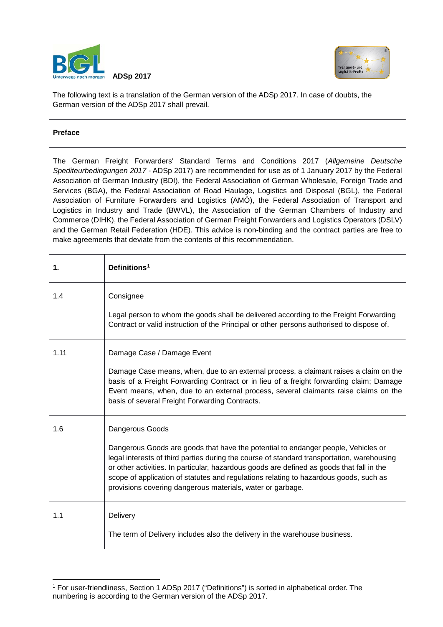



The following text is a translation of the German version of the ADSp 2017. In case of doubts, the German version of the ADSp 2017 shall prevail.

## **Preface**

The German Freight Forwarders' Standard Terms and Conditions 2017 (*Allgemeine Deutsche Spediteurbedingungen 2017* - ADSp 2017) are recommended for use as of 1 January 2017 by the Federal Association of German Industry (BDI), the Federal Association of German Wholesale, Foreign Trade and Services (BGA), the Federal Association of Road Haulage, Logistics and Disposal (BGL), the Federal Association of Furniture Forwarders and Logistics (AMÖ), the Federal Association of Transport and Logistics in Industry and Trade (BWVL), the Association of the German Chambers of Industry and Commerce (DIHK), the Federal Association of German Freight Forwarders and Logistics Operators (DSLV) and the German Retail Federation (HDE). This advice is non-binding and the contract parties are free to make agreements that deviate from the contents of this recommendation.

| 1.   | Definitions <sup>1</sup>                                                                                                                                                                                                                                                                                                                                                                                                                               |
|------|--------------------------------------------------------------------------------------------------------------------------------------------------------------------------------------------------------------------------------------------------------------------------------------------------------------------------------------------------------------------------------------------------------------------------------------------------------|
| 1.4  | Consignee                                                                                                                                                                                                                                                                                                                                                                                                                                              |
|      | Legal person to whom the goods shall be delivered according to the Freight Forwarding<br>Contract or valid instruction of the Principal or other persons authorised to dispose of.                                                                                                                                                                                                                                                                     |
| 1.11 | Damage Case / Damage Event                                                                                                                                                                                                                                                                                                                                                                                                                             |
|      | Damage Case means, when, due to an external process, a claimant raises a claim on the<br>basis of a Freight Forwarding Contract or in lieu of a freight forwarding claim; Damage<br>Event means, when, due to an external process, several claimants raise claims on the<br>basis of several Freight Forwarding Contracts.                                                                                                                             |
| 1.6  | Dangerous Goods<br>Dangerous Goods are goods that have the potential to endanger people, Vehicles or<br>legal interests of third parties during the course of standard transportation, warehousing<br>or other activities. In particular, hazardous goods are defined as goods that fall in the<br>scope of application of statutes and regulations relating to hazardous goods, such as<br>provisions covering dangerous materials, water or garbage. |
| 1.1  | Delivery<br>The term of Delivery includes also the delivery in the warehouse business.                                                                                                                                                                                                                                                                                                                                                                 |

<span id="page-0-0"></span> <sup>1</sup> For user-friendliness, Section 1 ADSp 2017 ("Definitions") is sorted in alphabetical order. The numbering is according to the German version of the ADSp 2017.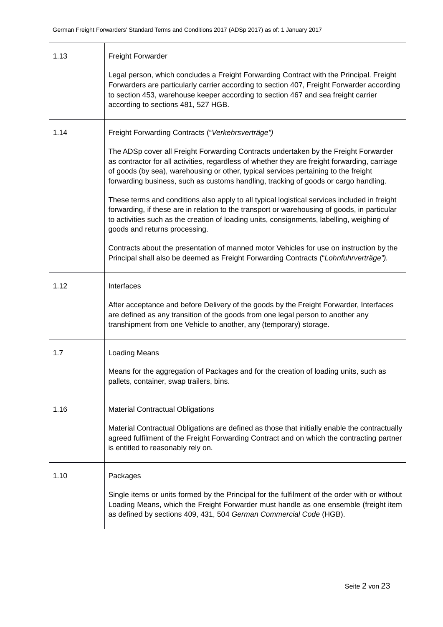| 1.13 | <b>Freight Forwarder</b>                                                                                                                                                                                                                                                                                                                                           |
|------|--------------------------------------------------------------------------------------------------------------------------------------------------------------------------------------------------------------------------------------------------------------------------------------------------------------------------------------------------------------------|
|      | Legal person, which concludes a Freight Forwarding Contract with the Principal. Freight<br>Forwarders are particularly carrier according to section 407, Freight Forwarder according<br>to section 453, warehouse keeper according to section 467 and sea freight carrier<br>according to sections 481, 527 HGB.                                                   |
| 1.14 | Freight Forwarding Contracts ("Verkehrsverträge")                                                                                                                                                                                                                                                                                                                  |
|      | The ADSp cover all Freight Forwarding Contracts undertaken by the Freight Forwarder<br>as contractor for all activities, regardless of whether they are freight forwarding, carriage<br>of goods (by sea), warehousing or other, typical services pertaining to the freight<br>forwarding business, such as customs handling, tracking of goods or cargo handling. |
|      | These terms and conditions also apply to all typical logistical services included in freight<br>forwarding, if these are in relation to the transport or warehousing of goods, in particular<br>to activities such as the creation of loading units, consignments, labelling, weighing of<br>goods and returns processing.                                         |
|      | Contracts about the presentation of manned motor Vehicles for use on instruction by the<br>Principal shall also be deemed as Freight Forwarding Contracts ("Lohnfuhrverträge").                                                                                                                                                                                    |
| 1.12 | Interfaces                                                                                                                                                                                                                                                                                                                                                         |
|      | After acceptance and before Delivery of the goods by the Freight Forwarder, Interfaces<br>are defined as any transition of the goods from one legal person to another any<br>transhipment from one Vehicle to another, any (temporary) storage.                                                                                                                    |
| 1.7  | <b>Loading Means</b>                                                                                                                                                                                                                                                                                                                                               |
|      | Means for the aggregation of Packages and for the creation of loading units, such as<br>pallets, container, swap trailers, bins.                                                                                                                                                                                                                                   |
| 1.16 | <b>Material Contractual Obligations</b>                                                                                                                                                                                                                                                                                                                            |
|      | Material Contractual Obligations are defined as those that initially enable the contractually<br>agreed fulfilment of the Freight Forwarding Contract and on which the contracting partner<br>is entitled to reasonably rely on.                                                                                                                                   |
| 1.10 | Packages                                                                                                                                                                                                                                                                                                                                                           |
|      | Single items or units formed by the Principal for the fulfilment of the order with or without<br>Loading Means, which the Freight Forwarder must handle as one ensemble (freight item<br>as defined by sections 409, 431, 504 German Commercial Code (HGB).                                                                                                        |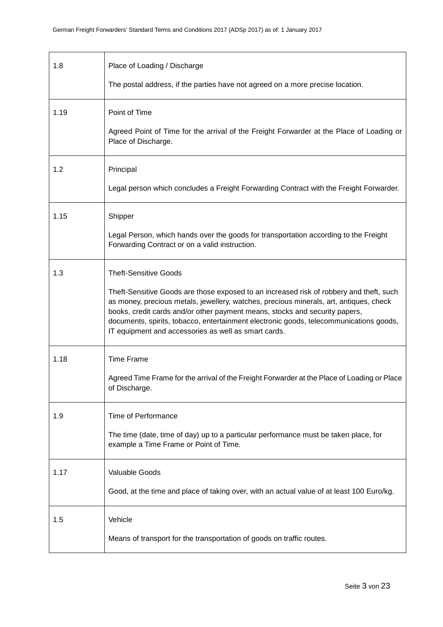| 1.8  | Place of Loading / Discharge                                                                                                                                                                                                                                                                                                                                                                                       |
|------|--------------------------------------------------------------------------------------------------------------------------------------------------------------------------------------------------------------------------------------------------------------------------------------------------------------------------------------------------------------------------------------------------------------------|
|      | The postal address, if the parties have not agreed on a more precise location.                                                                                                                                                                                                                                                                                                                                     |
| 1.19 | Point of Time                                                                                                                                                                                                                                                                                                                                                                                                      |
|      | Agreed Point of Time for the arrival of the Freight Forwarder at the Place of Loading or<br>Place of Discharge.                                                                                                                                                                                                                                                                                                    |
| 1.2  | Principal                                                                                                                                                                                                                                                                                                                                                                                                          |
|      | Legal person which concludes a Freight Forwarding Contract with the Freight Forwarder.                                                                                                                                                                                                                                                                                                                             |
| 1.15 | Shipper                                                                                                                                                                                                                                                                                                                                                                                                            |
|      | Legal Person, which hands over the goods for transportation according to the Freight<br>Forwarding Contract or on a valid instruction.                                                                                                                                                                                                                                                                             |
| 1.3  | <b>Theft-Sensitive Goods</b>                                                                                                                                                                                                                                                                                                                                                                                       |
|      | Theft-Sensitive Goods are those exposed to an increased risk of robbery and theft, such<br>as money, precious metals, jewellery, watches, precious minerals, art, antiques, check<br>books, credit cards and/or other payment means, stocks and security papers,<br>documents, spirits, tobacco, entertainment electronic goods, telecommunications goods,<br>IT equipment and accessories as well as smart cards. |
| 1.18 | <b>Time Frame</b>                                                                                                                                                                                                                                                                                                                                                                                                  |
|      | Agreed Time Frame for the arrival of the Freight Forwarder at the Place of Loading or Place<br>of Discharge.                                                                                                                                                                                                                                                                                                       |
| 1.9  | Time of Performance                                                                                                                                                                                                                                                                                                                                                                                                |
|      | The time (date, time of day) up to a particular performance must be taken place, for<br>example a Time Frame or Point of Time.                                                                                                                                                                                                                                                                                     |
| 1.17 | Valuable Goods                                                                                                                                                                                                                                                                                                                                                                                                     |
|      | Good, at the time and place of taking over, with an actual value of at least 100 Euro/kg.                                                                                                                                                                                                                                                                                                                          |
| 1.5  | Vehicle                                                                                                                                                                                                                                                                                                                                                                                                            |
|      | Means of transport for the transportation of goods on traffic routes.                                                                                                                                                                                                                                                                                                                                              |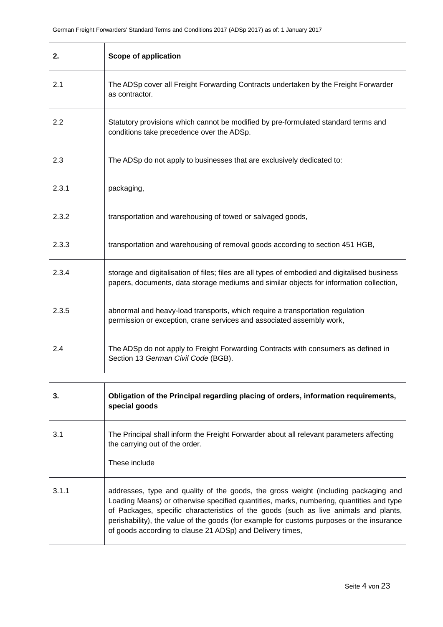| 2.    | Scope of application                                                                                                                                                                     |
|-------|------------------------------------------------------------------------------------------------------------------------------------------------------------------------------------------|
| 2.1   | The ADSp cover all Freight Forwarding Contracts undertaken by the Freight Forwarder<br>as contractor.                                                                                    |
| 2.2   | Statutory provisions which cannot be modified by pre-formulated standard terms and<br>conditions take precedence over the ADSp.                                                          |
| 2.3   | The ADSp do not apply to businesses that are exclusively dedicated to:                                                                                                                   |
| 2.3.1 | packaging,                                                                                                                                                                               |
| 2.3.2 | transportation and warehousing of towed or salvaged goods,                                                                                                                               |
| 2.3.3 | transportation and warehousing of removal goods according to section 451 HGB,                                                                                                            |
| 2.3.4 | storage and digitalisation of files; files are all types of embodied and digitalised business<br>papers, documents, data storage mediums and similar objects for information collection, |
| 2.3.5 | abnormal and heavy-load transports, which require a transportation regulation<br>permission or exception, crane services and associated assembly work,                                   |
| 2.4   | The ADSp do not apply to Freight Forwarding Contracts with consumers as defined in<br>Section 13 German Civil Code (BGB).                                                                |

| 3.    | Obligation of the Principal regarding placing of orders, information requirements,<br>special goods                                                                                                                                                                                                                                                                                                                              |
|-------|----------------------------------------------------------------------------------------------------------------------------------------------------------------------------------------------------------------------------------------------------------------------------------------------------------------------------------------------------------------------------------------------------------------------------------|
| 3.1   | The Principal shall inform the Freight Forwarder about all relevant parameters affecting<br>the carrying out of the order.<br>These include                                                                                                                                                                                                                                                                                      |
| 3.1.1 | addresses, type and quality of the goods, the gross weight (including packaging and<br>Loading Means) or otherwise specified quantities, marks, numbering, quantities and type<br>of Packages, specific characteristics of the goods (such as live animals and plants,<br>perishability), the value of the goods (for example for customs purposes or the insurance<br>of goods according to clause 21 ADSp) and Delivery times, |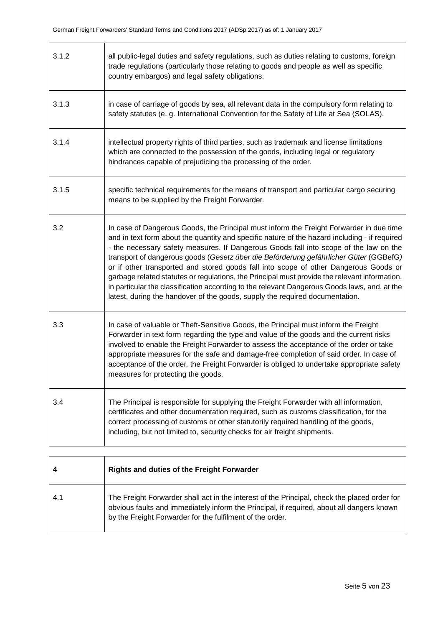| 3.1.2 | all public-legal duties and safety regulations, such as duties relating to customs, foreign<br>trade regulations (particularly those relating to goods and people as well as specific<br>country embargos) and legal safety obligations.                                                                                                                                                                                                                                                                                                                                                                                                                                                                                                            |
|-------|-----------------------------------------------------------------------------------------------------------------------------------------------------------------------------------------------------------------------------------------------------------------------------------------------------------------------------------------------------------------------------------------------------------------------------------------------------------------------------------------------------------------------------------------------------------------------------------------------------------------------------------------------------------------------------------------------------------------------------------------------------|
| 3.1.3 | in case of carriage of goods by sea, all relevant data in the compulsory form relating to<br>safety statutes (e. g. International Convention for the Safety of Life at Sea (SOLAS).                                                                                                                                                                                                                                                                                                                                                                                                                                                                                                                                                                 |
| 3.1.4 | intellectual property rights of third parties, such as trademark and license limitations<br>which are connected to the possession of the goods, including legal or regulatory<br>hindrances capable of prejudicing the processing of the order.                                                                                                                                                                                                                                                                                                                                                                                                                                                                                                     |
| 3.1.5 | specific technical requirements for the means of transport and particular cargo securing<br>means to be supplied by the Freight Forwarder.                                                                                                                                                                                                                                                                                                                                                                                                                                                                                                                                                                                                          |
| 3.2   | In case of Dangerous Goods, the Principal must inform the Freight Forwarder in due time<br>and in text form about the quantity and specific nature of the hazard including - if required<br>- the necessary safety measures. If Dangerous Goods fall into scope of the law on the<br>transport of dangerous goods (Gesetz über die Beförderung gefährlicher Güter (GGBefG)<br>or if other transported and stored goods fall into scope of other Dangerous Goods or<br>garbage related statutes or regulations, the Principal must provide the relevant information,<br>in particular the classification according to the relevant Dangerous Goods laws, and, at the<br>latest, during the handover of the goods, supply the required documentation. |
| 3.3   | In case of valuable or Theft-Sensitive Goods, the Principal must inform the Freight<br>Forwarder in text form regarding the type and value of the goods and the current risks<br>involved to enable the Freight Forwarder to assess the acceptance of the order or take<br>appropriate measures for the safe and damage-free completion of said order. In case of<br>acceptance of the order, the Freight Forwarder is obliged to undertake appropriate safety<br>measures for protecting the goods.                                                                                                                                                                                                                                                |
| 3.4   | The Principal is responsible for supplying the Freight Forwarder with all information,<br>certificates and other documentation required, such as customs classification, for the<br>correct processing of customs or other statutorily required handling of the goods,<br>including, but not limited to, security checks for air freight shipments.                                                                                                                                                                                                                                                                                                                                                                                                 |

|     | <b>Rights and duties of the Freight Forwarder</b>                                                                                                                                                                                                      |
|-----|--------------------------------------------------------------------------------------------------------------------------------------------------------------------------------------------------------------------------------------------------------|
| 4.1 | The Freight Forwarder shall act in the interest of the Principal, check the placed order for<br>obvious faults and immediately inform the Principal, if required, about all dangers known<br>by the Freight Forwarder for the fulfilment of the order. |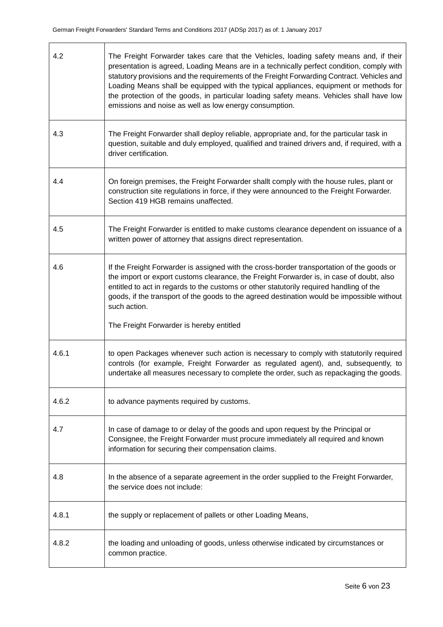$\overline{1}$ 

┯

| 4.2   | The Freight Forwarder takes care that the Vehicles, loading safety means and, if their<br>presentation is agreed, Loading Means are in a technically perfect condition, comply with<br>statutory provisions and the requirements of the Freight Forwarding Contract. Vehicles and<br>Loading Means shall be equipped with the typical appliances, equipment or methods for<br>the protection of the goods, in particular loading safety means. Vehicles shall have low<br>emissions and noise as well as low energy consumption. |
|-------|----------------------------------------------------------------------------------------------------------------------------------------------------------------------------------------------------------------------------------------------------------------------------------------------------------------------------------------------------------------------------------------------------------------------------------------------------------------------------------------------------------------------------------|
| 4.3   | The Freight Forwarder shall deploy reliable, appropriate and, for the particular task in<br>question, suitable and duly employed, qualified and trained drivers and, if required, with a<br>driver certification.                                                                                                                                                                                                                                                                                                                |
| 4.4   | On foreign premises, the Freight Forwarder shallt comply with the house rules, plant or<br>construction site regulations in force, if they were announced to the Freight Forwarder.<br>Section 419 HGB remains unaffected.                                                                                                                                                                                                                                                                                                       |
| 4.5   | The Freight Forwarder is entitled to make customs clearance dependent on issuance of a<br>written power of attorney that assigns direct representation.                                                                                                                                                                                                                                                                                                                                                                          |
| 4.6   | If the Freight Forwarder is assigned with the cross-border transportation of the goods or<br>the import or export customs clearance, the Freight Forwarder is, in case of doubt, also<br>entitled to act in regards to the customs or other statutorily required handling of the<br>goods, if the transport of the goods to the agreed destination would be impossible without<br>such action.                                                                                                                                   |
|       | The Freight Forwarder is hereby entitled                                                                                                                                                                                                                                                                                                                                                                                                                                                                                         |
| 4.6.1 | to open Packages whenever such action is necessary to comply with statutorily required<br>controls (for example, Freight Forwarder as regulated agent), and, subsequently, to<br>undertake all measures necessary to complete the order, such as repackaging the goods.                                                                                                                                                                                                                                                          |
| 4.6.2 | to advance payments required by customs.                                                                                                                                                                                                                                                                                                                                                                                                                                                                                         |
| 4.7   | In case of damage to or delay of the goods and upon request by the Principal or<br>Consignee, the Freight Forwarder must procure immediately all required and known<br>information for securing their compensation claims.                                                                                                                                                                                                                                                                                                       |
| 4.8   | In the absence of a separate agreement in the order supplied to the Freight Forwarder,<br>the service does not include:                                                                                                                                                                                                                                                                                                                                                                                                          |
| 4.8.1 | the supply or replacement of pallets or other Loading Means,                                                                                                                                                                                                                                                                                                                                                                                                                                                                     |
| 4.8.2 | the loading and unloading of goods, unless otherwise indicated by circumstances or<br>common practice.                                                                                                                                                                                                                                                                                                                                                                                                                           |

٦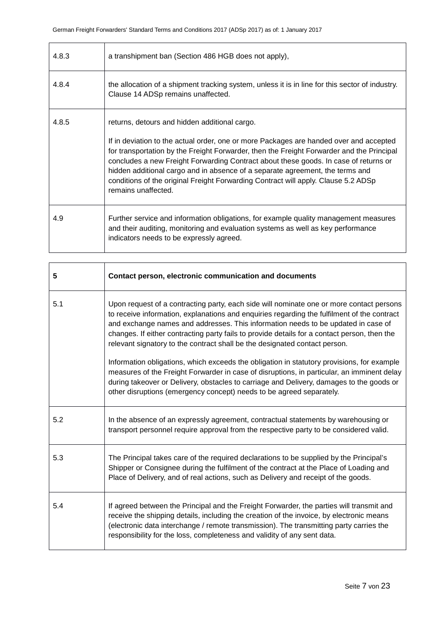| 4.8.3 | a transhipment ban (Section 486 HGB does not apply),                                                                                                                                                                                                                                                                                                                                                                                                                                                                       |
|-------|----------------------------------------------------------------------------------------------------------------------------------------------------------------------------------------------------------------------------------------------------------------------------------------------------------------------------------------------------------------------------------------------------------------------------------------------------------------------------------------------------------------------------|
| 4.8.4 | the allocation of a shipment tracking system, unless it is in line for this sector of industry.<br>Clause 14 ADSp remains unaffected.                                                                                                                                                                                                                                                                                                                                                                                      |
| 4.8.5 | returns, detours and hidden additional cargo.<br>If in deviation to the actual order, one or more Packages are handed over and accepted<br>for transportation by the Freight Forwarder, then the Freight Forwarder and the Principal<br>concludes a new Freight Forwarding Contract about these goods. In case of returns or<br>hidden additional cargo and in absence of a separate agreement, the terms and<br>conditions of the original Freight Forwarding Contract will apply. Clause 5.2 ADSp<br>remains unaffected. |
| 4.9   | Further service and information obligations, for example quality management measures<br>and their auditing, monitoring and evaluation systems as well as key performance<br>indicators needs to be expressly agreed.                                                                                                                                                                                                                                                                                                       |

| 5   | Contact person, electronic communication and documents                                                                                                                                                                                                                                                                                                                                                                                                     |
|-----|------------------------------------------------------------------------------------------------------------------------------------------------------------------------------------------------------------------------------------------------------------------------------------------------------------------------------------------------------------------------------------------------------------------------------------------------------------|
| 5.1 | Upon request of a contracting party, each side will nominate one or more contact persons<br>to receive information, explanations and enquiries regarding the fulfilment of the contract<br>and exchange names and addresses. This information needs to be updated in case of<br>changes. If either contracting party fails to provide details for a contact person, then the<br>relevant signatory to the contract shall be the designated contact person. |
|     | Information obligations, which exceeds the obligation in statutory provisions, for example<br>measures of the Freight Forwarder in case of disruptions, in particular, an imminent delay<br>during takeover or Delivery, obstacles to carriage and Delivery, damages to the goods or<br>other disruptions (emergency concept) needs to be agreed separately.                                                                                               |
| 5.2 | In the absence of an expressly agreement, contractual statements by warehousing or<br>transport personnel require approval from the respective party to be considered valid.                                                                                                                                                                                                                                                                               |
| 5.3 | The Principal takes care of the required declarations to be supplied by the Principal's<br>Shipper or Consignee during the fulfilment of the contract at the Place of Loading and<br>Place of Delivery, and of real actions, such as Delivery and receipt of the goods.                                                                                                                                                                                    |
| 5.4 | If agreed between the Principal and the Freight Forwarder, the parties will transmit and<br>receive the shipping details, including the creation of the invoice, by electronic means<br>(electronic data interchange / remote transmission). The transmitting party carries the<br>responsibility for the loss, completeness and validity of any sent data.                                                                                                |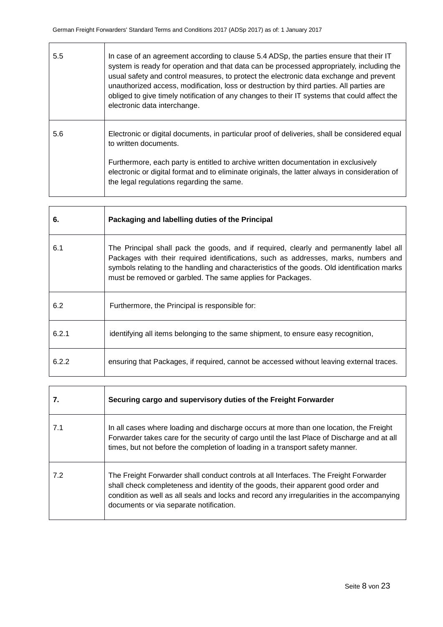$\overline{1}$ 

 $\overline{\mathsf{T}}$ 

| 5.5 | In case of an agreement according to clause 5.4 ADSp, the parties ensure that their IT<br>system is ready for operation and that data can be processed appropriately, including the<br>usual safety and control measures, to protect the electronic data exchange and prevent<br>unauthorized access, modification, loss or destruction by third parties. All parties are<br>obliged to give timely notification of any changes to their IT systems that could affect the<br>electronic data interchange. |
|-----|-----------------------------------------------------------------------------------------------------------------------------------------------------------------------------------------------------------------------------------------------------------------------------------------------------------------------------------------------------------------------------------------------------------------------------------------------------------------------------------------------------------|
| 5.6 | Electronic or digital documents, in particular proof of deliveries, shall be considered equal<br>to written documents.<br>Furthermore, each party is entitled to archive written documentation in exclusively<br>electronic or digital format and to eliminate originals, the latter always in consideration of<br>the legal regulations regarding the same.                                                                                                                                              |
|     |                                                                                                                                                                                                                                                                                                                                                                                                                                                                                                           |

| 6.    | Packaging and labelling duties of the Principal                                                                                                                                                                                                                                                                                            |
|-------|--------------------------------------------------------------------------------------------------------------------------------------------------------------------------------------------------------------------------------------------------------------------------------------------------------------------------------------------|
| 6.1   | The Principal shall pack the goods, and if required, clearly and permanently label all<br>Packages with their required identifications, such as addresses, marks, numbers and<br>symbols relating to the handling and characteristics of the goods. Old identification marks<br>must be removed or garbled. The same applies for Packages. |
| 6.2   | Furthermore, the Principal is responsible for:                                                                                                                                                                                                                                                                                             |
| 6.2.1 | identifying all items belonging to the same shipment, to ensure easy recognition,                                                                                                                                                                                                                                                          |
| 6.2.2 | ensuring that Packages, if required, cannot be accessed without leaving external traces.                                                                                                                                                                                                                                                   |

|     | Securing cargo and supervisory duties of the Freight Forwarder                                                                                                                                                                                                                                                      |
|-----|---------------------------------------------------------------------------------------------------------------------------------------------------------------------------------------------------------------------------------------------------------------------------------------------------------------------|
| 7.1 | In all cases where loading and discharge occurs at more than one location, the Freight<br>Forwarder takes care for the security of cargo until the last Place of Discharge and at all<br>times, but not before the completion of loading in a transport safety manner.                                              |
| 7.2 | The Freight Forwarder shall conduct controls at all Interfaces. The Freight Forwarder<br>shall check completeness and identity of the goods, their apparent good order and<br>condition as well as all seals and locks and record any irregularities in the accompanying<br>documents or via separate notification. |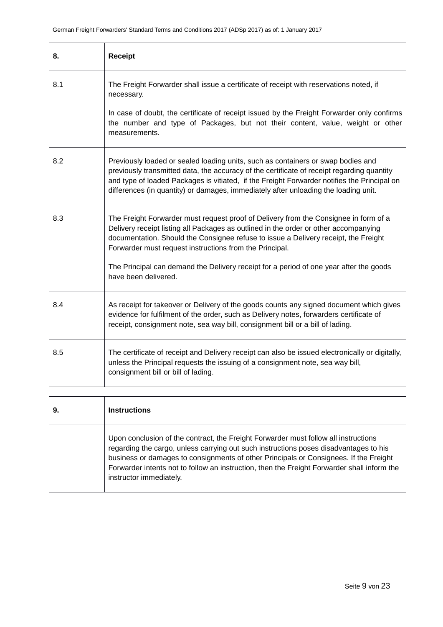| 8.  | <b>Receipt</b>                                                                                                                                                                                                                                                                                                                                                                                                                                   |
|-----|--------------------------------------------------------------------------------------------------------------------------------------------------------------------------------------------------------------------------------------------------------------------------------------------------------------------------------------------------------------------------------------------------------------------------------------------------|
| 8.1 | The Freight Forwarder shall issue a certificate of receipt with reservations noted, if<br>necessary.<br>In case of doubt, the certificate of receipt issued by the Freight Forwarder only confirms<br>the number and type of Packages, but not their content, value, weight or other<br>measurements.                                                                                                                                            |
| 8.2 | Previously loaded or sealed loading units, such as containers or swap bodies and<br>previously transmitted data, the accuracy of the certificate of receipt regarding quantity<br>and type of loaded Packages is vitiated, if the Freight Forwarder notifies the Principal on<br>differences (in quantity) or damages, immediately after unloading the loading unit.                                                                             |
| 8.3 | The Freight Forwarder must request proof of Delivery from the Consignee in form of a<br>Delivery receipt listing all Packages as outlined in the order or other accompanying<br>documentation. Should the Consignee refuse to issue a Delivery receipt, the Freight<br>Forwarder must request instructions from the Principal.<br>The Principal can demand the Delivery receipt for a period of one year after the goods<br>have been delivered. |
| 8.4 | As receipt for takeover or Delivery of the goods counts any signed document which gives<br>evidence for fulfilment of the order, such as Delivery notes, forwarders certificate of<br>receipt, consignment note, sea way bill, consignment bill or a bill of lading.                                                                                                                                                                             |
| 8.5 | The certificate of receipt and Delivery receipt can also be issued electronically or digitally,<br>unless the Principal requests the issuing of a consignment note, sea way bill,<br>consignment bill or bill of lading.                                                                                                                                                                                                                         |

| 9. | <b>Instructions</b>                                                                                                                                                                                                                                                                                                                                                                             |
|----|-------------------------------------------------------------------------------------------------------------------------------------------------------------------------------------------------------------------------------------------------------------------------------------------------------------------------------------------------------------------------------------------------|
|    | Upon conclusion of the contract, the Freight Forwarder must follow all instructions<br>regarding the cargo, unless carrying out such instructions poses disadvantages to his<br>business or damages to consignments of other Principals or Consignees. If the Freight<br>Forwarder intents not to follow an instruction, then the Freight Forwarder shall inform the<br>instructor immediately. |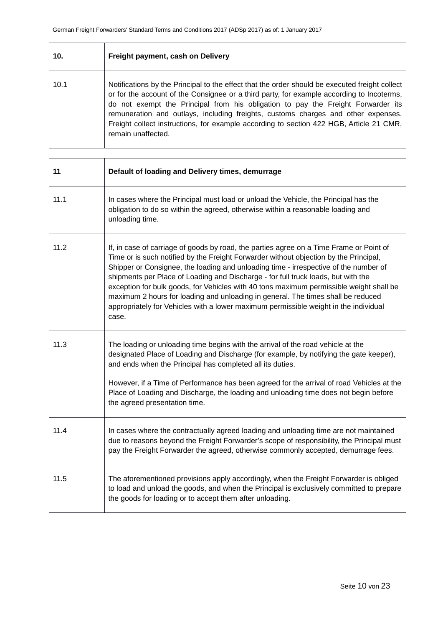| 10.  | Freight payment, cash on Delivery                                                                                                                                                                                                                                                                                                                                                                                                                                                     |
|------|---------------------------------------------------------------------------------------------------------------------------------------------------------------------------------------------------------------------------------------------------------------------------------------------------------------------------------------------------------------------------------------------------------------------------------------------------------------------------------------|
| 10.1 | Notifications by the Principal to the effect that the order should be executed freight collect<br>or for the account of the Consignee or a third party, for example according to Incoterms,<br>do not exempt the Principal from his obligation to pay the Freight Forwarder its<br>remuneration and outlays, including freights, customs charges and other expenses.<br>Freight collect instructions, for example according to section 422 HGB, Article 21 CMR,<br>remain unaffected. |

| 11   | Default of loading and Delivery times, demurrage                                                                                                                                                                                                                                                                                                                                                                                                                                                                                                                                                                                              |
|------|-----------------------------------------------------------------------------------------------------------------------------------------------------------------------------------------------------------------------------------------------------------------------------------------------------------------------------------------------------------------------------------------------------------------------------------------------------------------------------------------------------------------------------------------------------------------------------------------------------------------------------------------------|
| 11.1 | In cases where the Principal must load or unload the Vehicle, the Principal has the<br>obligation to do so within the agreed, otherwise within a reasonable loading and<br>unloading time.                                                                                                                                                                                                                                                                                                                                                                                                                                                    |
| 11.2 | If, in case of carriage of goods by road, the parties agree on a Time Frame or Point of<br>Time or is such notified by the Freight Forwarder without objection by the Principal,<br>Shipper or Consignee, the loading and unloading time - irrespective of the number of<br>shipments per Place of Loading and Discharge - for full truck loads, but with the<br>exception for bulk goods, for Vehicles with 40 tons maximum permissible weight shall be<br>maximum 2 hours for loading and unloading in general. The times shall be reduced<br>appropriately for Vehicles with a lower maximum permissible weight in the individual<br>case. |
| 11.3 | The loading or unloading time begins with the arrival of the road vehicle at the<br>designated Place of Loading and Discharge (for example, by notifying the gate keeper),<br>and ends when the Principal has completed all its duties.<br>However, if a Time of Performance has been agreed for the arrival of road Vehicles at the<br>Place of Loading and Discharge, the loading and unloading time does not begin before<br>the agreed presentation time.                                                                                                                                                                                 |
| 11.4 | In cases where the contractually agreed loading and unloading time are not maintained<br>due to reasons beyond the Freight Forwarder's scope of responsibility, the Principal must<br>pay the Freight Forwarder the agreed, otherwise commonly accepted, demurrage fees.                                                                                                                                                                                                                                                                                                                                                                      |
| 11.5 | The aforementioned provisions apply accordingly, when the Freight Forwarder is obliged<br>to load and unload the goods, and when the Principal is exclusively committed to prepare<br>the goods for loading or to accept them after unloading.                                                                                                                                                                                                                                                                                                                                                                                                |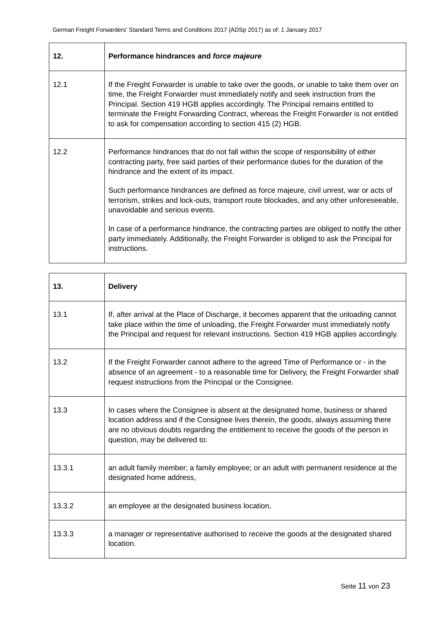| 12.  | Performance hindrances and force majeure                                                                                                                                                                                                                                                                                                                                                                                     |
|------|------------------------------------------------------------------------------------------------------------------------------------------------------------------------------------------------------------------------------------------------------------------------------------------------------------------------------------------------------------------------------------------------------------------------------|
| 12.1 | If the Freight Forwarder is unable to take over the goods, or unable to take them over on<br>time, the Freight Forwarder must immediately notify and seek instruction from the<br>Principal. Section 419 HGB applies accordingly. The Principal remains entitled to<br>terminate the Freight Forwarding Contract, whereas the Freight Forwarder is not entitled<br>to ask for compensation according to section 415 (2) HGB. |
| 12.2 | Performance hindrances that do not fall within the scope of responsibility of either<br>contracting party, free said parties of their performance duties for the duration of the<br>hindrance and the extent of its impact.                                                                                                                                                                                                  |
|      | Such performance hindrances are defined as force majeure, civil unrest, war or acts of<br>terrorism, strikes and lock-outs, transport route blockades, and any other unforeseeable,<br>unavoidable and serious events.                                                                                                                                                                                                       |
|      | In case of a performance hindrance, the contracting parties are obliged to notify the other<br>party immediately. Additionally, the Freight Forwarder is obliged to ask the Principal for<br>instructions.                                                                                                                                                                                                                   |

| 13.    | <b>Delivery</b>                                                                                                                                                                                                                                                                                       |
|--------|-------------------------------------------------------------------------------------------------------------------------------------------------------------------------------------------------------------------------------------------------------------------------------------------------------|
| 13.1   | If, after arrival at the Place of Discharge, it becomes apparent that the unloading cannot<br>take place within the time of unloading, the Freight Forwarder must immediately notify<br>the Principal and request for relevant instructions. Section 419 HGB applies accordingly.                     |
| 13.2   | If the Freight Forwarder cannot adhere to the agreed Time of Performance or - in the<br>absence of an agreement - to a reasonable time for Delivery, the Freight Forwarder shall<br>request instructions from the Principal or the Consignee.                                                         |
| 13.3   | In cases where the Consignee is absent at the designated home, business or shared<br>location address and if the Consignee lives therein, the goods, always assuming there<br>are no obvious doubts regarding the entitlement to receive the goods of the person in<br>question, may be delivered to: |
| 13.3.1 | an adult family member; a family employee; or an adult with permanent residence at the<br>designated home address,                                                                                                                                                                                    |
| 13.3.2 | an employee at the designated business location,                                                                                                                                                                                                                                                      |
| 13.3.3 | a manager or representative authorised to receive the goods at the designated shared<br>location.                                                                                                                                                                                                     |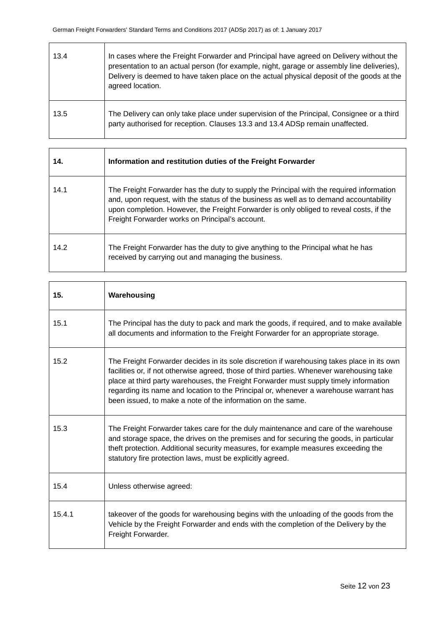| 13.4 | In cases where the Freight Forwarder and Principal have agreed on Delivery without the<br>presentation to an actual person (for example, night, garage or assembly line deliveries),<br>Delivery is deemed to have taken place on the actual physical deposit of the goods at the<br>agreed location. |
|------|-------------------------------------------------------------------------------------------------------------------------------------------------------------------------------------------------------------------------------------------------------------------------------------------------------|
| 13.5 | The Delivery can only take place under supervision of the Principal, Consignee or a third<br>party authorised for reception. Clauses 13.3 and 13.4 ADSp remain unaffected.                                                                                                                            |

| 14.  | Information and restitution duties of the Freight Forwarder                                                                                                                                                                                                                                                                      |
|------|----------------------------------------------------------------------------------------------------------------------------------------------------------------------------------------------------------------------------------------------------------------------------------------------------------------------------------|
| 14.1 | The Freight Forwarder has the duty to supply the Principal with the required information<br>and, upon request, with the status of the business as well as to demand accountability<br>upon completion. However, the Freight Forwarder is only obliged to reveal costs, if the<br>Freight Forwarder works on Principal's account. |
| 14.2 | The Freight Forwarder has the duty to give anything to the Principal what he has<br>received by carrying out and managing the business.                                                                                                                                                                                          |

| 15.    | Warehousing                                                                                                                                                                                                                                                                                                                                                                                                                              |
|--------|------------------------------------------------------------------------------------------------------------------------------------------------------------------------------------------------------------------------------------------------------------------------------------------------------------------------------------------------------------------------------------------------------------------------------------------|
| 15.1   | The Principal has the duty to pack and mark the goods, if required, and to make available<br>all documents and information to the Freight Forwarder for an appropriate storage.                                                                                                                                                                                                                                                          |
| 15.2   | The Freight Forwarder decides in its sole discretion if warehousing takes place in its own<br>facilities or, if not otherwise agreed, those of third parties. Whenever warehousing take<br>place at third party warehouses, the Freight Forwarder must supply timely information<br>regarding its name and location to the Principal or, whenever a warehouse warrant has<br>been issued, to make a note of the information on the same. |
| 15.3   | The Freight Forwarder takes care for the duly maintenance and care of the warehouse<br>and storage space, the drives on the premises and for securing the goods, in particular<br>theft protection. Additional security measures, for example measures exceeding the<br>statutory fire protection laws, must be explicitly agreed.                                                                                                       |
| 15.4   | Unless otherwise agreed:                                                                                                                                                                                                                                                                                                                                                                                                                 |
| 15.4.1 | takeover of the goods for warehousing begins with the unloading of the goods from the<br>Vehicle by the Freight Forwarder and ends with the completion of the Delivery by the<br>Freight Forwarder.                                                                                                                                                                                                                                      |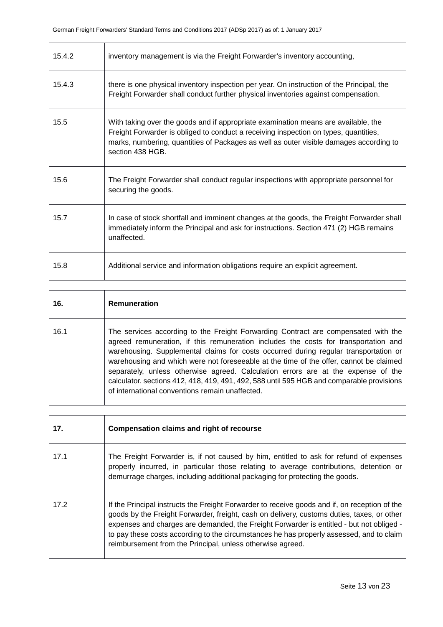| 15.4.2 | inventory management is via the Freight Forwarder's inventory accounting,                                                                                                                                                                                                                |
|--------|------------------------------------------------------------------------------------------------------------------------------------------------------------------------------------------------------------------------------------------------------------------------------------------|
| 15.4.3 | there is one physical inventory inspection per year. On instruction of the Principal, the<br>Freight Forwarder shall conduct further physical inventories against compensation.                                                                                                          |
| 15.5   | With taking over the goods and if appropriate examination means are available, the<br>Freight Forwarder is obliged to conduct a receiving inspection on types, quantities,<br>marks, numbering, quantities of Packages as well as outer visible damages according to<br>section 438 HGB. |
| 15.6   | The Freight Forwarder shall conduct regular inspections with appropriate personnel for<br>securing the goods.                                                                                                                                                                            |
| 15.7   | In case of stock shortfall and imminent changes at the goods, the Freight Forwarder shall<br>immediately inform the Principal and ask for instructions. Section 471 (2) HGB remains<br>unaffected.                                                                                       |
| 15.8   | Additional service and information obligations require an explicit agreement.                                                                                                                                                                                                            |

| 16.  | Remuneration                                                                                                                                                                                                                                                                                                                                                                                                                                                                                                                                                                                     |
|------|--------------------------------------------------------------------------------------------------------------------------------------------------------------------------------------------------------------------------------------------------------------------------------------------------------------------------------------------------------------------------------------------------------------------------------------------------------------------------------------------------------------------------------------------------------------------------------------------------|
| 16.1 | The services according to the Freight Forwarding Contract are compensated with the<br>agreed remuneration, if this remuneration includes the costs for transportation and<br>warehousing. Supplemental claims for costs occurred during regular transportation or<br>warehousing and which were not foreseeable at the time of the offer, cannot be claimed<br>separately, unless otherwise agreed. Calculation errors are at the expense of the<br>calculator. sections 412, 418, 419, 491, 492, 588 until 595 HGB and comparable provisions<br>of international conventions remain unaffected. |

| 17.  | <b>Compensation claims and right of recourse</b>                                                                                                                                                                                                                                                                                                                                                                                                  |
|------|---------------------------------------------------------------------------------------------------------------------------------------------------------------------------------------------------------------------------------------------------------------------------------------------------------------------------------------------------------------------------------------------------------------------------------------------------|
| 17.1 | The Freight Forwarder is, if not caused by him, entitled to ask for refund of expenses<br>properly incurred, in particular those relating to average contributions, detention or<br>demurrage charges, including additional packaging for protecting the goods.                                                                                                                                                                                   |
| 17.2 | If the Principal instructs the Freight Forwarder to receive goods and if, on reception of the<br>goods by the Freight Forwarder, freight, cash on delivery, customs duties, taxes, or other<br>expenses and charges are demanded, the Freight Forwarder is entitled - but not obliged -<br>to pay these costs according to the circumstances he has properly assessed, and to claim<br>reimbursement from the Principal, unless otherwise agreed. |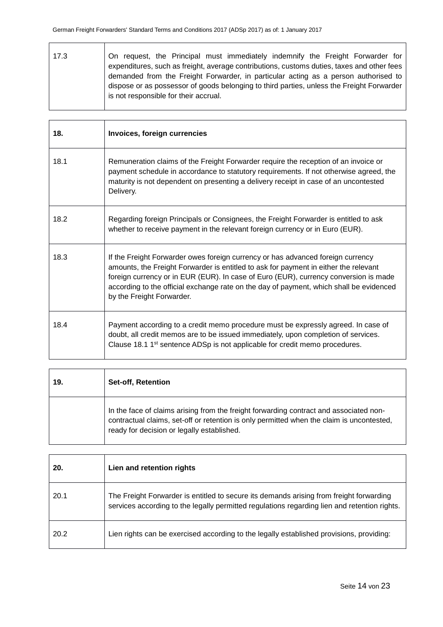| 18.  | Invoices, foreign currencies                                                                                                                                                                                                                                                                                                                                                            |
|------|-----------------------------------------------------------------------------------------------------------------------------------------------------------------------------------------------------------------------------------------------------------------------------------------------------------------------------------------------------------------------------------------|
| 18.1 | Remuneration claims of the Freight Forwarder require the reception of an invoice or<br>payment schedule in accordance to statutory requirements. If not otherwise agreed, the<br>maturity is not dependent on presenting a delivery receipt in case of an uncontested<br>Delivery.                                                                                                      |
| 18.2 | Regarding foreign Principals or Consignees, the Freight Forwarder is entitled to ask<br>whether to receive payment in the relevant foreign currency or in Euro (EUR).                                                                                                                                                                                                                   |
| 18.3 | If the Freight Forwarder owes foreign currency or has advanced foreign currency<br>amounts, the Freight Forwarder is entitled to ask for payment in either the relevant<br>foreign currency or in EUR (EUR). In case of Euro (EUR), currency conversion is made<br>according to the official exchange rate on the day of payment, which shall be evidenced<br>by the Freight Forwarder. |
| 18.4 | Payment according to a credit memo procedure must be expressly agreed. In case of<br>doubt, all credit memos are to be issued immediately, upon completion of services.<br>Clause 18.1 1 <sup>st</sup> sentence ADSp is not applicable for credit memo procedures.                                                                                                                      |

| 19. | <b>Set-off, Retention</b>                                                                                                                                                                                                         |
|-----|-----------------------------------------------------------------------------------------------------------------------------------------------------------------------------------------------------------------------------------|
|     | In the face of claims arising from the freight forwarding contract and associated non-<br>contractual claims, set-off or retention is only permitted when the claim is uncontested,<br>ready for decision or legally established. |

| 20.  | Lien and retention rights                                                                                                                                                               |
|------|-----------------------------------------------------------------------------------------------------------------------------------------------------------------------------------------|
| 20.1 | The Freight Forwarder is entitled to secure its demands arising from freight forwarding<br>services according to the legally permitted regulations regarding lien and retention rights. |
| 20.2 | Lien rights can be exercised according to the legally established provisions, providing:                                                                                                |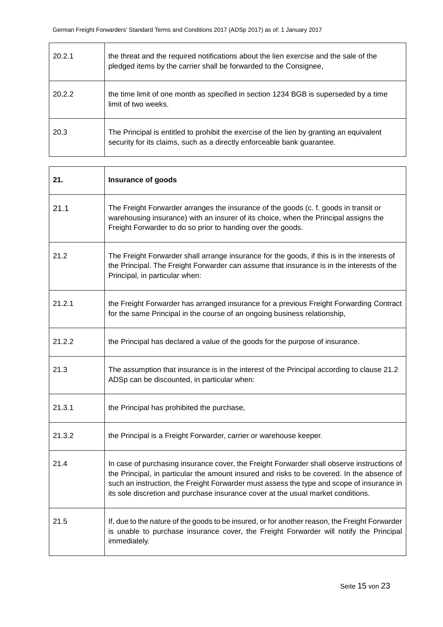| 20.2.1 | the threat and the required notifications about the lien exercise and the sale of the<br>pledged items by the carrier shall be forwarded to the Consignee,          |
|--------|---------------------------------------------------------------------------------------------------------------------------------------------------------------------|
| 20.2.2 | the time limit of one month as specified in section 1234 BGB is superseded by a time<br>limit of two weeks.                                                         |
| 20.3   | The Principal is entitled to prohibit the exercise of the lien by granting an equivalent<br>security for its claims, such as a directly enforceable bank guarantee. |

| 21.    | <b>Insurance of goods</b>                                                                                                                                                                                                                                                                                                                                                 |
|--------|---------------------------------------------------------------------------------------------------------------------------------------------------------------------------------------------------------------------------------------------------------------------------------------------------------------------------------------------------------------------------|
| 21.1   | The Freight Forwarder arranges the insurance of the goods (c. f. goods in transit or<br>warehousing insurance) with an insurer of its choice, when the Principal assigns the<br>Freight Forwarder to do so prior to handing over the goods.                                                                                                                               |
| 21.2   | The Freight Forwarder shall arrange insurance for the goods, if this is in the interests of<br>the Principal. The Freight Forwarder can assume that insurance is in the interests of the<br>Principal, in particular when:                                                                                                                                                |
| 21.2.1 | the Freight Forwarder has arranged insurance for a previous Freight Forwarding Contract<br>for the same Principal in the course of an ongoing business relationship,                                                                                                                                                                                                      |
| 21.2.2 | the Principal has declared a value of the goods for the purpose of insurance.                                                                                                                                                                                                                                                                                             |
| 21.3   | The assumption that insurance is in the interest of the Principal according to clause 21.2<br>ADSp can be discounted, in particular when:                                                                                                                                                                                                                                 |
| 21.3.1 | the Principal has prohibited the purchase,                                                                                                                                                                                                                                                                                                                                |
| 21.3.2 | the Principal is a Freight Forwarder, carrier or warehouse keeper.                                                                                                                                                                                                                                                                                                        |
| 21.4   | In case of purchasing insurance cover, the Freight Forwarder shall observe instructions of<br>the Principal, in particular the amount insured and risks to be covered. In the absence of<br>such an instruction, the Freight Forwarder must assess the type and scope of insurance in<br>its sole discretion and purchase insurance cover at the usual market conditions. |
| 21.5   | If, due to the nature of the goods to be insured, or for another reason, the Freight Forwarder<br>is unable to purchase insurance cover, the Freight Forwarder will notify the Principal<br>immediately.                                                                                                                                                                  |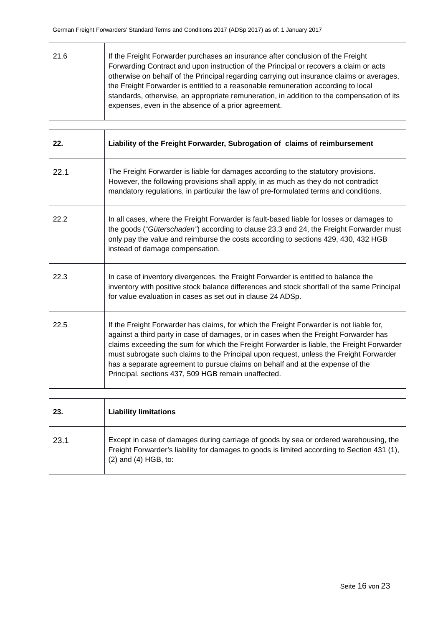| 21.6<br>If the Freight Forwarder purchases an insurance after conclusion of the Freight<br>Forwarding Contract and upon instruction of the Principal or recovers a claim or acts<br>otherwise on behalf of the Principal regarding carrying out insurance claims or averages,<br>the Freight Forwarder is entitled to a reasonable remuneration according to local<br>standards, otherwise, an appropriate remuneration, in addition to the compensation of its<br>expenses, even in the absence of a prior agreement. |  |
|------------------------------------------------------------------------------------------------------------------------------------------------------------------------------------------------------------------------------------------------------------------------------------------------------------------------------------------------------------------------------------------------------------------------------------------------------------------------------------------------------------------------|--|

| 22.  | Liability of the Freight Forwarder, Subrogation of claims of reimbursement                                                                                                                                                                                                                                                                                                                                                                                                                                     |
|------|----------------------------------------------------------------------------------------------------------------------------------------------------------------------------------------------------------------------------------------------------------------------------------------------------------------------------------------------------------------------------------------------------------------------------------------------------------------------------------------------------------------|
| 22.1 | The Freight Forwarder is liable for damages according to the statutory provisions.<br>However, the following provisions shall apply, in as much as they do not contradict<br>mandatory regulations, in particular the law of pre-formulated terms and conditions.                                                                                                                                                                                                                                              |
| 22.2 | In all cases, where the Freight Forwarder is fault-based liable for losses or damages to<br>the goods ("Güterschaden") according to clause 23.3 and 24, the Freight Forwarder must<br>only pay the value and reimburse the costs according to sections 429, 430, 432 HGB<br>instead of damage compensation.                                                                                                                                                                                                    |
| 22.3 | In case of inventory divergences, the Freight Forwarder is entitled to balance the<br>inventory with positive stock balance differences and stock shortfall of the same Principal<br>for value evaluation in cases as set out in clause 24 ADSp.                                                                                                                                                                                                                                                               |
| 22.5 | If the Freight Forwarder has claims, for which the Freight Forwarder is not liable for,<br>against a third party in case of damages, or in cases when the Freight Forwarder has<br>claims exceeding the sum for which the Freight Forwarder is liable, the Freight Forwarder<br>must subrogate such claims to the Principal upon request, unless the Freight Forwarder<br>has a separate agreement to pursue claims on behalf and at the expense of the<br>Principal. sections 437, 509 HGB remain unaffected. |

| 23.   | <b>Liability limitations</b>                                                                                                                                                                                     |
|-------|------------------------------------------------------------------------------------------------------------------------------------------------------------------------------------------------------------------|
| -23.1 | Except in case of damages during carriage of goods by sea or ordered warehousing, the<br>Freight Forwarder's liability for damages to goods is limited according to Section 431 (1),<br>$(2)$ and $(4)$ HGB, to: |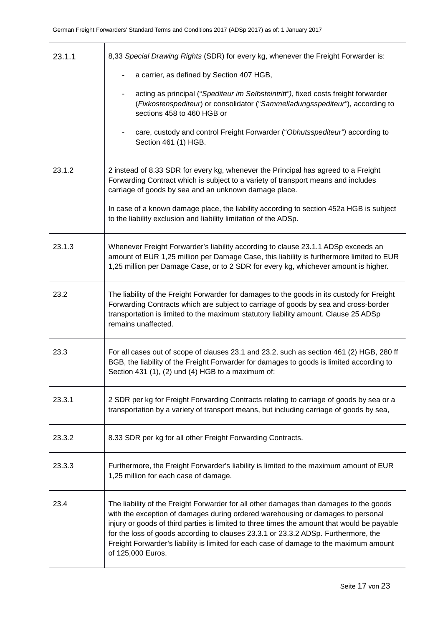| 23.1.1 | 8,33 Special Drawing Rights (SDR) for every kg, whenever the Freight Forwarder is:                                                                                                                                                                                                                                                                                                                                                                                            |
|--------|-------------------------------------------------------------------------------------------------------------------------------------------------------------------------------------------------------------------------------------------------------------------------------------------------------------------------------------------------------------------------------------------------------------------------------------------------------------------------------|
|        | a carrier, as defined by Section 407 HGB,                                                                                                                                                                                                                                                                                                                                                                                                                                     |
|        | acting as principal ("Spediteur im Selbsteintritt"), fixed costs freight forwarder<br>(Fixkostenspediteur) or consolidator ("Sammelladungsspediteur"), according to<br>sections 458 to 460 HGB or                                                                                                                                                                                                                                                                             |
|        | care, custody and control Freight Forwarder ("Obhutsspediteur") according to<br>Section 461 (1) HGB.                                                                                                                                                                                                                                                                                                                                                                          |
| 23.1.2 | 2 instead of 8.33 SDR for every kg, whenever the Principal has agreed to a Freight<br>Forwarding Contract which is subject to a variety of transport means and includes<br>carriage of goods by sea and an unknown damage place.                                                                                                                                                                                                                                              |
|        | In case of a known damage place, the liability according to section 452a HGB is subject<br>to the liability exclusion and liability limitation of the ADSp.                                                                                                                                                                                                                                                                                                                   |
| 23.1.3 | Whenever Freight Forwarder's liability according to clause 23.1.1 ADSp exceeds an<br>amount of EUR 1,25 million per Damage Case, this liability is furthermore limited to EUR<br>1,25 million per Damage Case, or to 2 SDR for every kg, whichever amount is higher.                                                                                                                                                                                                          |
| 23.2   | The liability of the Freight Forwarder for damages to the goods in its custody for Freight<br>Forwarding Contracts which are subject to carriage of goods by sea and cross-border<br>transportation is limited to the maximum statutory liability amount. Clause 25 ADSp<br>remains unaffected.                                                                                                                                                                               |
| 23.3   | For all cases out of scope of clauses 23.1 and 23.2, such as section 461 (2) HGB, 280 ff<br>BGB, the liability of the Freight Forwarder for damages to goods is limited according to<br>Section 431 (1), (2) und (4) HGB to a maximum of:                                                                                                                                                                                                                                     |
| 23.3.1 | 2 SDR per kg for Freight Forwarding Contracts relating to carriage of goods by sea or a<br>transportation by a variety of transport means, but including carriage of goods by sea,                                                                                                                                                                                                                                                                                            |
| 23.3.2 | 8.33 SDR per kg for all other Freight Forwarding Contracts.                                                                                                                                                                                                                                                                                                                                                                                                                   |
| 23.3.3 | Furthermore, the Freight Forwarder's liability is limited to the maximum amount of EUR<br>1,25 million for each case of damage.                                                                                                                                                                                                                                                                                                                                               |
| 23.4   | The liability of the Freight Forwarder for all other damages than damages to the goods<br>with the exception of damages during ordered warehousing or damages to personal<br>injury or goods of third parties is limited to three times the amount that would be payable<br>for the loss of goods according to clauses 23.3.1 or 23.3.2 ADSp. Furthermore, the<br>Freight Forwarder's liability is limited for each case of damage to the maximum amount<br>of 125,000 Euros. |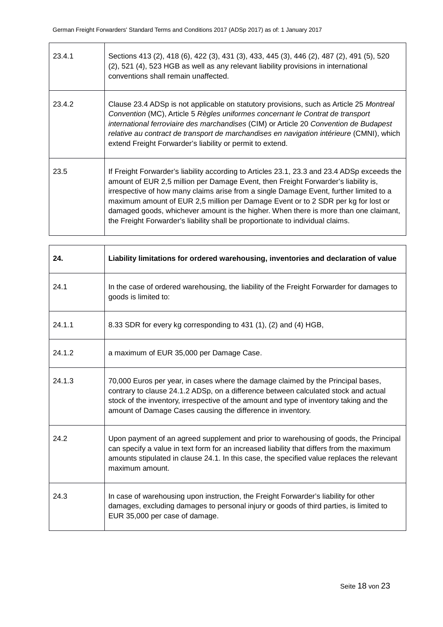| 23.4.1 | Sections 413 (2), 418 (6), 422 (3), 431 (3), 433, 445 (3), 446 (2), 487 (2), 491 (5), 520<br>(2), 521 (4), 523 HGB as well as any relevant liability provisions in international<br>conventions shall remain unaffected.                                                                                                                                                                                                                                                                                                                   |
|--------|--------------------------------------------------------------------------------------------------------------------------------------------------------------------------------------------------------------------------------------------------------------------------------------------------------------------------------------------------------------------------------------------------------------------------------------------------------------------------------------------------------------------------------------------|
| 23.4.2 | Clause 23.4 ADSp is not applicable on statutory provisions, such as Article 25 Montreal<br>Convention (MC), Article 5 Règles uniformes concernant le Contrat de transport<br>international ferroviaire des marchandises (CIM) or Article 20 Convention de Budapest<br>relative au contract de transport de marchandises en navigation intérieure (CMNI), which<br>extend Freight Forwarder's liability or permit to extend.                                                                                                                |
| 23.5   | If Freight Forwarder's liability according to Articles 23.1, 23.3 and 23.4 ADSp exceeds the<br>amount of EUR 2,5 million per Damage Event, then Freight Forwarder's liability is,<br>irrespective of how many claims arise from a single Damage Event, further limited to a<br>maximum amount of EUR 2,5 million per Damage Event or to 2 SDR per kg for lost or<br>damaged goods, whichever amount is the higher. When there is more than one claimant,<br>the Freight Forwarder's liability shall be proportionate to individual claims. |

| 24.    | Liability limitations for ordered warehousing, inventories and declaration of value                                                                                                                                                                                                                                               |
|--------|-----------------------------------------------------------------------------------------------------------------------------------------------------------------------------------------------------------------------------------------------------------------------------------------------------------------------------------|
| 24.1   | In the case of ordered warehousing, the liability of the Freight Forwarder for damages to<br>goods is limited to:                                                                                                                                                                                                                 |
| 24.1.1 | 8.33 SDR for every kg corresponding to 431 (1), (2) and (4) HGB,                                                                                                                                                                                                                                                                  |
| 24.1.2 | a maximum of EUR 35,000 per Damage Case.                                                                                                                                                                                                                                                                                          |
| 24.1.3 | 70,000 Euros per year, in cases where the damage claimed by the Principal bases,<br>contrary to clause 24.1.2 ADSp, on a difference between calculated stock and actual<br>stock of the inventory, irrespective of the amount and type of inventory taking and the<br>amount of Damage Cases causing the difference in inventory. |
| 24.2   | Upon payment of an agreed supplement and prior to warehousing of goods, the Principal<br>can specify a value in text form for an increased liability that differs from the maximum<br>amounts stipulated in clause 24.1. In this case, the specified value replaces the relevant<br>maximum amount.                               |
| 24.3   | In case of warehousing upon instruction, the Freight Forwarder's liability for other<br>damages, excluding damages to personal injury or goods of third parties, is limited to<br>EUR 35,000 per case of damage.                                                                                                                  |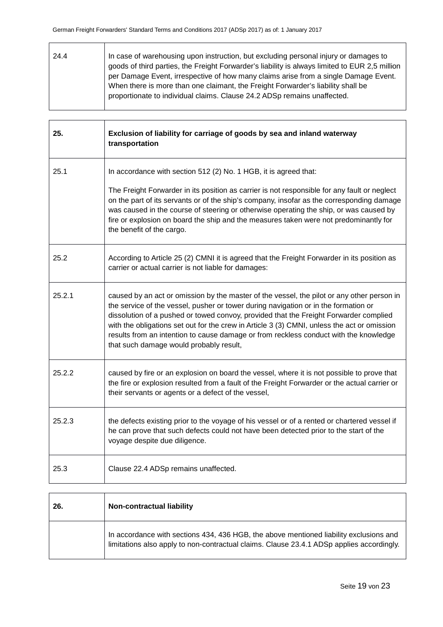T

| 24.4 | In case of warehousing upon instruction, but excluding personal injury or damages to<br>goods of third parties, the Freight Forwarder's liability is always limited to EUR 2,5 million<br>per Damage Event, irrespective of how many claims arise from a single Damage Event.<br>When there is more than one claimant, the Freight Forwarder's liability shall be<br>proportionate to individual claims. Clause 24.2 ADSp remains unaffected. |
|------|-----------------------------------------------------------------------------------------------------------------------------------------------------------------------------------------------------------------------------------------------------------------------------------------------------------------------------------------------------------------------------------------------------------------------------------------------|
|      |                                                                                                                                                                                                                                                                                                                                                                                                                                               |

| 25.    | Exclusion of liability for carriage of goods by sea and inland waterway<br>transportation                                                                                                                                                                                                                                                                                                                                                                                                                     |
|--------|---------------------------------------------------------------------------------------------------------------------------------------------------------------------------------------------------------------------------------------------------------------------------------------------------------------------------------------------------------------------------------------------------------------------------------------------------------------------------------------------------------------|
| 25.1   | In accordance with section 512 (2) No. 1 HGB, it is agreed that:                                                                                                                                                                                                                                                                                                                                                                                                                                              |
|        | The Freight Forwarder in its position as carrier is not responsible for any fault or neglect<br>on the part of its servants or of the ship's company, insofar as the corresponding damage<br>was caused in the course of steering or otherwise operating the ship, or was caused by<br>fire or explosion on board the ship and the measures taken were not predominantly for<br>the benefit of the cargo.                                                                                                     |
| 25.2   | According to Article 25 (2) CMNI it is agreed that the Freight Forwarder in its position as<br>carrier or actual carrier is not liable for damages:                                                                                                                                                                                                                                                                                                                                                           |
| 25.2.1 | caused by an act or omission by the master of the vessel, the pilot or any other person in<br>the service of the vessel, pusher or tower during navigation or in the formation or<br>dissolution of a pushed or towed convoy, provided that the Freight Forwarder complied<br>with the obligations set out for the crew in Article 3 (3) CMNI, unless the act or omission<br>results from an intention to cause damage or from reckless conduct with the knowledge<br>that such damage would probably result, |
| 25.2.2 | caused by fire or an explosion on board the vessel, where it is not possible to prove that<br>the fire or explosion resulted from a fault of the Freight Forwarder or the actual carrier or<br>their servants or agents or a defect of the vessel,                                                                                                                                                                                                                                                            |
| 25.2.3 | the defects existing prior to the voyage of his vessel or of a rented or chartered vessel if<br>he can prove that such defects could not have been detected prior to the start of the<br>voyage despite due diligence.                                                                                                                                                                                                                                                                                        |
| 25.3   | Clause 22.4 ADSp remains unaffected.                                                                                                                                                                                                                                                                                                                                                                                                                                                                          |

| 26. | <b>Non-contractual liability</b>                                                                                                                                                    |
|-----|-------------------------------------------------------------------------------------------------------------------------------------------------------------------------------------|
|     | In accordance with sections 434, 436 HGB, the above mentioned liability exclusions and<br>limitations also apply to non-contractual claims. Clause 23.4.1 ADSp applies accordingly. |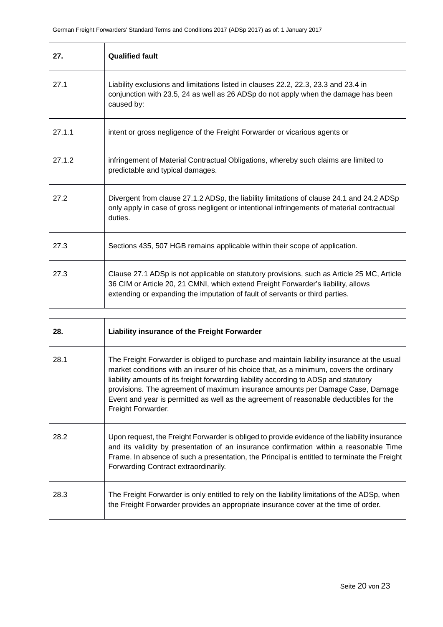| 27.    | <b>Qualified fault</b>                                                                                                                                                                                                                                          |
|--------|-----------------------------------------------------------------------------------------------------------------------------------------------------------------------------------------------------------------------------------------------------------------|
| 27.1   | Liability exclusions and limitations listed in clauses 22.2, 22.3, 23.3 and 23.4 in<br>conjunction with 23.5, 24 as well as 26 ADSp do not apply when the damage has been<br>caused by:                                                                         |
| 27.1.1 | intent or gross negligence of the Freight Forwarder or vicarious agents or                                                                                                                                                                                      |
| 27.1.2 | infringement of Material Contractual Obligations, whereby such claims are limited to<br>predictable and typical damages.                                                                                                                                        |
| 27.2   | Divergent from clause 27.1.2 ADSp, the liability limitations of clause 24.1 and 24.2 ADSp<br>only apply in case of gross negligent or intentional infringements of material contractual<br>duties.                                                              |
| 27.3   | Sections 435, 507 HGB remains applicable within their scope of application.                                                                                                                                                                                     |
| 27.3   | Clause 27.1 ADSp is not applicable on statutory provisions, such as Article 25 MC, Article<br>36 CIM or Article 20, 21 CMNI, which extend Freight Forwarder's liability, allows<br>extending or expanding the imputation of fault of servants or third parties. |

| 28.  | Liability insurance of the Freight Forwarder                                                                                                                                                                                                                                                                                                                                                                                                                                     |
|------|----------------------------------------------------------------------------------------------------------------------------------------------------------------------------------------------------------------------------------------------------------------------------------------------------------------------------------------------------------------------------------------------------------------------------------------------------------------------------------|
| 28.1 | The Freight Forwarder is obliged to purchase and maintain liability insurance at the usual<br>market conditions with an insurer of his choice that, as a minimum, covers the ordinary<br>liability amounts of its freight forwarding liability according to ADSp and statutory<br>provisions. The agreement of maximum insurance amounts per Damage Case, Damage<br>Event and year is permitted as well as the agreement of reasonable deductibles for the<br>Freight Forwarder. |
| 28.2 | Upon request, the Freight Forwarder is obliged to provide evidence of the liability insurance<br>and its validity by presentation of an insurance confirmation within a reasonable Time<br>Frame. In absence of such a presentation, the Principal is entitled to terminate the Freight<br>Forwarding Contract extraordinarily.                                                                                                                                                  |
| 28.3 | The Freight Forwarder is only entitled to rely on the liability limitations of the ADSp, when<br>the Freight Forwarder provides an appropriate insurance cover at the time of order.                                                                                                                                                                                                                                                                                             |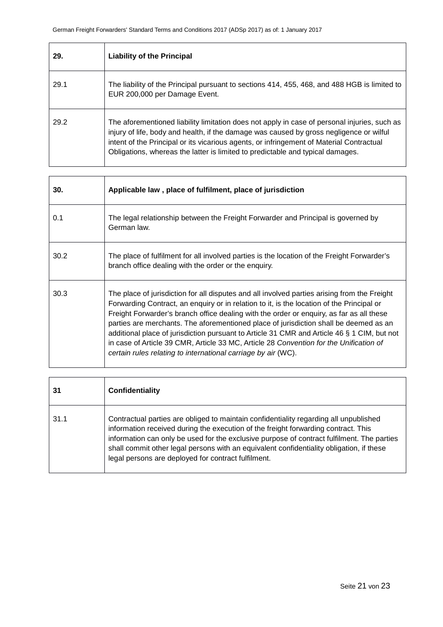| 29.  | <b>Liability of the Principal</b>                                                                                                                                                                                                                                                                                                                                     |
|------|-----------------------------------------------------------------------------------------------------------------------------------------------------------------------------------------------------------------------------------------------------------------------------------------------------------------------------------------------------------------------|
| 29.1 | The liability of the Principal pursuant to sections 414, 455, 468, and 488 HGB is limited to<br>EUR 200,000 per Damage Event.                                                                                                                                                                                                                                         |
| 29.2 | The aforementioned liability limitation does not apply in case of personal injuries, such as<br>injury of life, body and health, if the damage was caused by gross negligence or wilful<br>intent of the Principal or its vicarious agents, or infringement of Material Contractual<br>Obligations, whereas the latter is limited to predictable and typical damages. |

| 30.  | Applicable law, place of fulfilment, place of jurisdiction                                                                                                                                                                                                                                                                                                                                                                                                                                                                                                                                                                               |
|------|------------------------------------------------------------------------------------------------------------------------------------------------------------------------------------------------------------------------------------------------------------------------------------------------------------------------------------------------------------------------------------------------------------------------------------------------------------------------------------------------------------------------------------------------------------------------------------------------------------------------------------------|
| 0.1  | The legal relationship between the Freight Forwarder and Principal is governed by<br>German law.                                                                                                                                                                                                                                                                                                                                                                                                                                                                                                                                         |
| 30.2 | The place of fulfilment for all involved parties is the location of the Freight Forwarder's<br>branch office dealing with the order or the enquiry.                                                                                                                                                                                                                                                                                                                                                                                                                                                                                      |
| 30.3 | The place of jurisdiction for all disputes and all involved parties arising from the Freight<br>Forwarding Contract, an enquiry or in relation to it, is the location of the Principal or<br>Freight Forwarder's branch office dealing with the order or enquiry, as far as all these<br>parties are merchants. The aforementioned place of jurisdiction shall be deemed as an<br>additional place of jurisdiction pursuant to Article 31 CMR and Article 46 § 1 CIM, but not<br>in case of Article 39 CMR, Article 33 MC, Article 28 Convention for the Unification of<br>certain rules relating to international carriage by air (WC). |

| 31   | Confidentiality                                                                                                                                                                                                                                                                                                                                                                                                              |
|------|------------------------------------------------------------------------------------------------------------------------------------------------------------------------------------------------------------------------------------------------------------------------------------------------------------------------------------------------------------------------------------------------------------------------------|
| 31.1 | Contractual parties are obliged to maintain confidentiality regarding all unpublished<br>information received during the execution of the freight forwarding contract. This<br>information can only be used for the exclusive purpose of contract fulfilment. The parties<br>shall commit other legal persons with an equivalent confidentiality obligation, if these<br>legal persons are deployed for contract fulfilment. |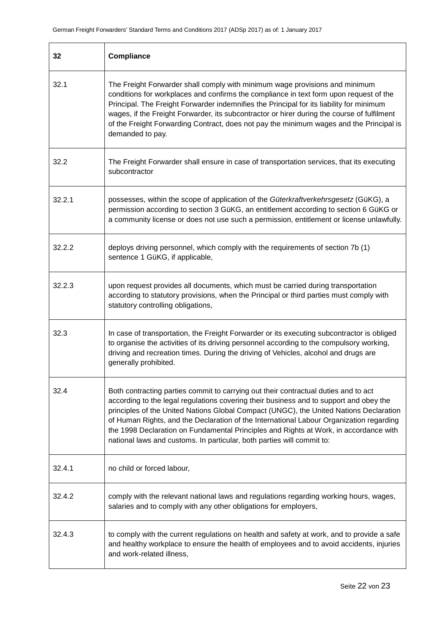| 32     | <b>Compliance</b>                                                                                                                                                                                                                                                                                                                                                                                                                                                                                                                     |
|--------|---------------------------------------------------------------------------------------------------------------------------------------------------------------------------------------------------------------------------------------------------------------------------------------------------------------------------------------------------------------------------------------------------------------------------------------------------------------------------------------------------------------------------------------|
| 32.1   | The Freight Forwarder shall comply with minimum wage provisions and minimum<br>conditions for workplaces and confirms the compliance in text form upon request of the<br>Principal. The Freight Forwarder indemnifies the Principal for its liability for minimum<br>wages, if the Freight Forwarder, its subcontractor or hirer during the course of fulfilment<br>of the Freight Forwarding Contract, does not pay the minimum wages and the Principal is<br>demanded to pay.                                                       |
| 32.2   | The Freight Forwarder shall ensure in case of transportation services, that its executing<br>subcontractor                                                                                                                                                                                                                                                                                                                                                                                                                            |
| 32.2.1 | possesses, within the scope of application of the Güterkraftverkehrsgesetz (GüKG), a<br>permission according to section 3 GüKG, an entitlement according to section 6 GüKG or<br>a community license or does not use such a permission, entitlement or license unlawfully.                                                                                                                                                                                                                                                            |
| 32.2.2 | deploys driving personnel, which comply with the requirements of section 7b (1)<br>sentence 1 GüKG, if applicable,                                                                                                                                                                                                                                                                                                                                                                                                                    |
| 32.2.3 | upon request provides all documents, which must be carried during transportation<br>according to statutory provisions, when the Principal or third parties must comply with<br>statutory controlling obligations,                                                                                                                                                                                                                                                                                                                     |
| 32.3   | In case of transportation, the Freight Forwarder or its executing subcontractor is obliged<br>to organise the activities of its driving personnel according to the compulsory working,<br>driving and recreation times. During the driving of Vehicles, alcohol and drugs are<br>generally prohibited.                                                                                                                                                                                                                                |
| 32.4   | Both contracting parties commit to carrying out their contractual duties and to act<br>according to the legal regulations covering their business and to support and obey the<br>principles of the United Nations Global Compact (UNGC), the United Nations Declaration<br>of Human Rights, and the Declaration of the International Labour Organization regarding<br>the 1998 Declaration on Fundamental Principles and Rights at Work, in accordance with<br>national laws and customs. In particular, both parties will commit to: |
| 32.4.1 | no child or forced labour,                                                                                                                                                                                                                                                                                                                                                                                                                                                                                                            |
| 32.4.2 | comply with the relevant national laws and regulations regarding working hours, wages,<br>salaries and to comply with any other obligations for employers,                                                                                                                                                                                                                                                                                                                                                                            |
| 32.4.3 | to comply with the current regulations on health and safety at work, and to provide a safe<br>and healthy workplace to ensure the health of employees and to avoid accidents, injuries<br>and work-related illness,                                                                                                                                                                                                                                                                                                                   |